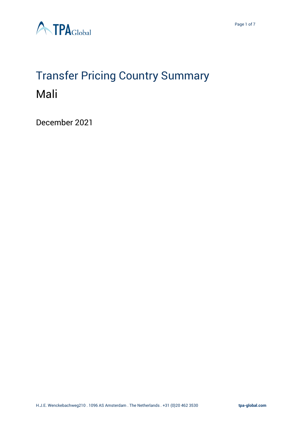

# Transfer Pricing Country Summary Mali

December 2021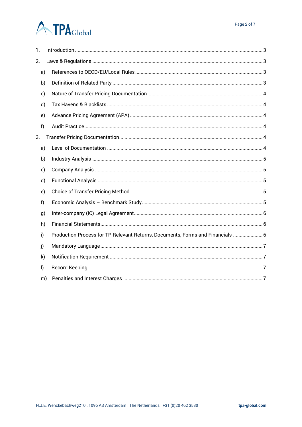# **A TPA**Global

| 1. |              |                                                                                |
|----|--------------|--------------------------------------------------------------------------------|
| 2. |              |                                                                                |
|    | a)           |                                                                                |
|    | b)           |                                                                                |
|    | c)           |                                                                                |
|    | d)           |                                                                                |
|    | e)           |                                                                                |
|    | f)           |                                                                                |
| 3. |              |                                                                                |
|    | a)           |                                                                                |
|    | b)           |                                                                                |
|    | c)           |                                                                                |
|    | d)           |                                                                                |
|    | e)           |                                                                                |
|    | f)           |                                                                                |
|    | g)           |                                                                                |
|    | h)           |                                                                                |
|    | i)           | Production Process for TP Relevant Returns, Documents, Forms and Financials  6 |
|    | j)           |                                                                                |
|    | $\mathsf{k}$ |                                                                                |
|    | $\mathsf{I}$ |                                                                                |
|    | m)           |                                                                                |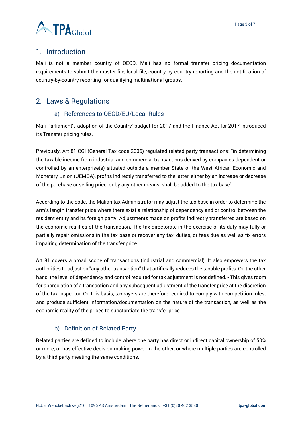

# <span id="page-2-0"></span>1. Introduction

Mali is not a member country of OECD. Mali has no formal transfer pricing documentation requirements to submit the master file, local file, country-by-country reporting and the notification of country-by-country reporting for qualifying multinational groups.

# <span id="page-2-2"></span><span id="page-2-1"></span>2. Laws & Regulations

#### a) References to OECD/EU/Local Rules

Mali Parliament's adoption of the Country' budget for 2017 and the Finance Act for 2017 introduced its Transfer pricing rules.

Previously, Art 81 CGI (General Tax code 2006) regulated related party transactions: "in determining the taxable income from industrial and commercial transactions derived by companies dependent or controlled by an enterprise(s) situated outside a member State of the West African Economic and Monetary Union (UEMOA), profits indirectly transferred to the latter, either by an increase or decrease of the purchase or selling price, or by any other means, shall be added to the tax base'.

According to the code, the Malian tax Administrator may adjust the tax base in order to determine the arm's length transfer price where there exist a relationship of dependency and or control between the resident entity and its foreign party. Adjustments made on profits indirectly transferred are based on the economic realities of the transaction. The tax directorate in the exercise of its duty may fully or partially repair omissions in the tax base or recover any tax, duties, or fees due as well as fix errors impairing determination of the transfer price.

Art 81 covers a broad scope of transactions (industrial and commercial). It also empowers the tax authorities to adjust on "any other transaction" that artificially reduces the taxable profits. On the other hand, the level of dependency and control required for tax adjustment is not defined. - This gives room for appreciation of a transaction and any subsequent adjustment of the transfer price at the discretion of the tax inspector. On this basis, taxpayers are therefore required to comply with competition rules; and produce sufficient information/documentation on the nature of the transaction, as well as the economic reality of the prices to substantiate the transfer price.

# b) Definition of Related Party

<span id="page-2-3"></span>Related parties are defined to include where one party has direct or indirect capital ownership of 50% or more, or has effective decision-making power in the other, or where multiple parties are controlled by a third party meeting the same conditions.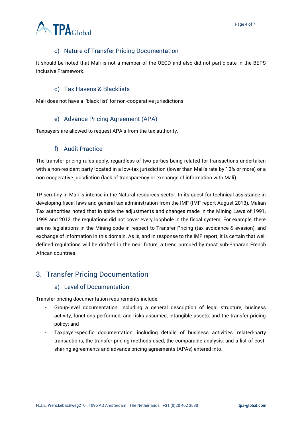

# c) Nature of Transfer Pricing Documentation

<span id="page-3-0"></span>It should be noted that Mali is not a member of the OECD and also did not participate in the BEPS Inclusive Framework.

#### d) Tax Havens & Blacklists

<span id="page-3-1"></span>Mali does not have a 'black list' for non-cooperative jurisdictions.

#### e) Advance Pricing Agreement (APA)

<span id="page-3-2"></span>Taxpayers are allowed to request APA's from the tax authority.

#### f) Audit Practice

<span id="page-3-3"></span>The transfer pricing rules apply, regardless of two parties being related for transactions undertaken with a non-resident party located in a low-tax jurisdiction (lower than Mali's rate by 10% or more) or a non-cooperative jurisdiction (lack of transparency or exchange of information with Mali)

TP scrutiny in Mali is intense in the Natural resources sector. In its quest for technical assistance in developing fiscal laws and general tax administration from the IMF (IMF report August 2013), Malian Tax authorities noted that in spite the adjustments and changes made in the Mining Laws of 1991, 1999 and 2012, the regulations did not cover every loophole in the fiscal system. For example, there are no legislations in the Mining code in respect to Transfer Pricing (tax avoidance & evasion), and exchange of information in this domain. As is, and in response to the IMF report, it is certain that well defined regulations will be drafted in the near future, a trend pursued by most sub-Saharan French African countries.

# <span id="page-3-5"></span><span id="page-3-4"></span>3. Transfer Pricing Documentation

#### a) Level of Documentation

Transfer pricing documentation requirements include:

- Group-level documentation, including a general description of legal structure, business activity, functions performed, and risks assumed, intangible assets, and the transfer pricing policy; and
- Taxpayer-specific documentation, including details of business activities, related-party transactions, the transfer pricing methods used, the comparable analysis, and a list of costsharing agreements and advance pricing agreements (APAs) entered into.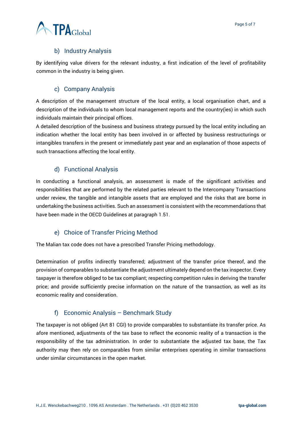# b) Industry Analysis

<span id="page-4-0"></span>By identifying value drivers for the relevant industry, a first indication of the level of profitability common in the industry is being given.

#### c) Company Analysis

<span id="page-4-1"></span>A description of the management structure of the local entity, a local organisation chart, and a description of the individuals to whom local management reports and the country(ies) in which such individuals maintain their principal offices.

A detailed description of the business and business strategy pursued by the local entity including an indication whether the local entity has been involved in or affected by business restructurings or intangibles transfers in the present or immediately past year and an explanation of those aspects of such transactions affecting the local entity.

#### d) Functional Analysis

<span id="page-4-2"></span>In conducting a functional analysis, an assessment is made of the significant activities and responsibilities that are performed by the related parties relevant to the Intercompany Transactions under review, the tangible and intangible assets that are employed and the risks that are borne in undertaking the business activities. Such an assessment is consistent with the recommendations that have been made in the OECD Guidelines at paragraph 1.51.

#### e) Choice of Transfer Pricing Method

<span id="page-4-3"></span>The Malian tax code does not have a prescribed Transfer Pricing methodology.

Determination of profits indirectly transferred; adjustment of the transfer price thereof, and the provision of comparables to substantiate the adjustment ultimately depend on the tax inspector. Every taxpayer is therefore obliged to be tax compliant; respecting competition rules in deriving the transfer price; and provide sufficiently precise information on the nature of the transaction, as well as its economic reality and consideration.

#### f) Economic Analysis – Benchmark Study

<span id="page-4-4"></span>The taxpayer is not obliged (Art 81 CGI) to provide comparables to substantiate its transfer price. As afore mentioned, adjustments of the tax base to reflect the economic reality of a transaction is the responsibility of the tax administration. In order to substantiate the adjusted tax base, the Tax authority may then rely on comparables from similar enterprises operating in similar transactions under similar circumstances in the open market.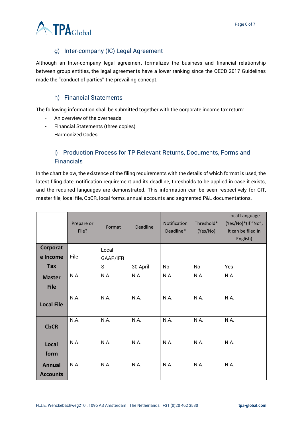

# g) Inter-company (IC) Legal Agreement

<span id="page-5-0"></span>Although an Inter-company legal agreement formalizes the business and financial relationship between group entities, the legal agreements have a lower ranking since the OECD 2017 Guidelines made the ''conduct of parties'' the prevailing concept.

# h) Financial Statements

<span id="page-5-1"></span>The following information shall be submitted together with the corporate income tax return:

- An overview of the overheads
- Financial Statements (three copies)
- Harmonized Codes

# <span id="page-5-2"></span>i) Production Process for TP Relevant Returns, Documents, Forms and Financials

In the chart below, the existence of the filing requirements with the details of which format is used, the latest filing date, notification requirement and its deadline, thresholds to be applied in case it exists, and the required languages are demonstrated. This information can be seen respectively for CIT, master file, local file, CbCR, local forms, annual accounts and segmented P&L documentations.

|                                  | Prepare or<br>File? | Format   | <b>Deadline</b> | Notification<br>Deadline* | Threshold*<br>(Yes/No) | Local Language<br>(Yes/No)*(If "No",<br>it can be filed in<br>English) |
|----------------------------------|---------------------|----------|-----------------|---------------------------|------------------------|------------------------------------------------------------------------|
| Corporat                         |                     | Local    |                 |                           |                        |                                                                        |
| e Income                         | File                | GAAP/IFR |                 |                           |                        |                                                                        |
| Tax                              |                     | S        | 30 April        | No                        | No                     | Yes                                                                    |
| <b>Master</b>                    | N.A.                | N.A.     | N.A.            | N.A.                      | N.A.                   | N.A.                                                                   |
| <b>File</b>                      |                     |          |                 |                           |                        |                                                                        |
| <b>Local File</b>                | N.A.                | N.A.     | N.A.            | N.A.                      | N.A.                   | N.A.                                                                   |
| <b>CbCR</b>                      | N.A.                | N.A.     | N.A.            | N.A.                      | N.A.                   | N.A.                                                                   |
| <b>Local</b><br>form             | N.A.                | N.A.     | N.A.            | N.A.                      | N.A.                   | N.A.                                                                   |
| <b>Annual</b><br><b>Accounts</b> | N.A.                | N.A.     | N.A.            | N.A.                      | N.A.                   | N.A.                                                                   |